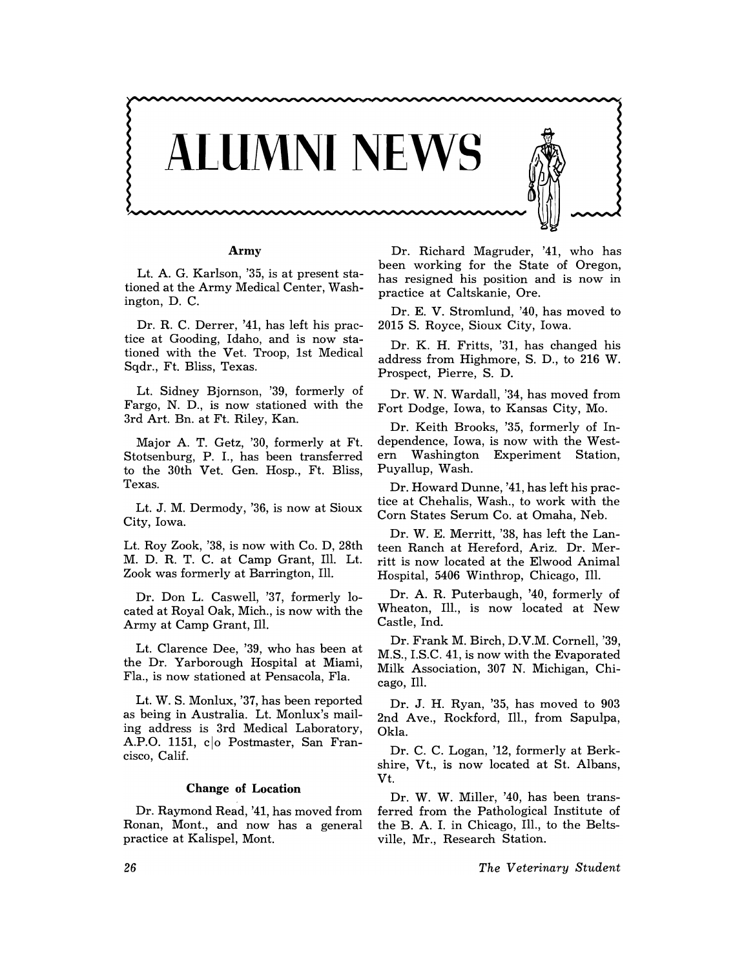

#### Army

Lt. A. G. Karlson, '35, is at present stationed at the Army Medical Center, Washington, D. C.

Dr. R. C. Derrer, '41, has left his practice at Gooding, Idaho, and is now stationed with the Vet. Troop, 1st Medical Sqdr., Ft. Bliss, Texas.

Lt. Sidney Bjornson, '39, formerly of Fargo, N. D., is now stationed with the 3rd Art. Bn. at Ft. Riley, Kan.

Major A. T. Getz, '30, formerly at Ft. Stotsenburg, P. 1., has been transferred to the 30th Vet. Gen. Hosp., Ft. Bliss, Texas.

Lt. J. M. Dermody, '36, is now at Sioux City, Iowa.

Lt. Roy Zook, '38, is now with Co. D, 28th M. D. R. T. C. at Camp Grant, Ill. Lt. Zook was formerly at Barrington, Ill.

Dr. Don L. Caswell, '37, formerly located at Royal Oak, Mich., is now with the Army at Camp Grant, Ill.

Lt. Clarence Dee, '39, who has been at the Dr. Yarborough Hospital at Miami, Fla., is now stationed at Pensacola, Fla.

Lt. W. S. Monlux, '37, has been reported as being in Australia. Lt. Monlux's mailing address is 3rd Medical Laboratory, A.P.O. 1151, co Postmaster, San Francisco, Calif.

# Change of Location

Dr. Raymond Read, '41, has moved from Ronan, Mont., and now has a general practice at Kalispel, Mont.

Dr. Richard Magruder, '41, who has been working for the State of Oregon, has resigned his position and is now in practice at Caltskanie, Ore.

Dr. E. V. Stromlund, '40, has moved to 2015 S. Royce, Sioux City, Iowa.

Dr. K. H. Fritts, '31, has changed his address from Highmore, S. D., to 216 W. Prospect, Pierre, S. D.

Dr. W. N. Wardall, '34, has moved from Fort Dodge, Iowa, to Kansas City, Mo.

Dr. Keith Brooks, '35, formerly of Independence, Iowa, is now with the Western Washington Experiment Station, Puyallup, Wash.

Dr. Howard Dunne, '41, has left his practice at Chehalis, Wash., to work with the Corn States Serum Co. at Omaha, Neb.

Dr. W. E. Merritt, '38, has left the Lanteen Ranch at Hereford, Ariz. Dr. Merritt is now located at the Elwood Animal Hospital, 5406 Winthrop, Chicago, Ill.

Dr. A. R. Puterbaugh, '40, formerly of Wheaton, Ill., is now located at New Castle, Ind.

Dr. Frank M. Birch, D.V.M. Cornell, '39, M.S., 1.S.C. 41, is now with the Evaporated Milk Association, 307 N. Michigan, Chicago, Ill.

Dr. J. H. Ryan, '35, has moved to 903 2nd Ave., Rockford, Ill., from Sapulpa, Okla.

Dr. C. C. Logan, '12, formerly at Berkshire, Vt., is now located at St. Albans, Vt.

Dr. W. W. Miller, '40, has been transferred from the Pathological Institute of the B. A. 1. in Chicago, Ill., to the Beltsville, Mr., Research Station.

*The Veterinary Student*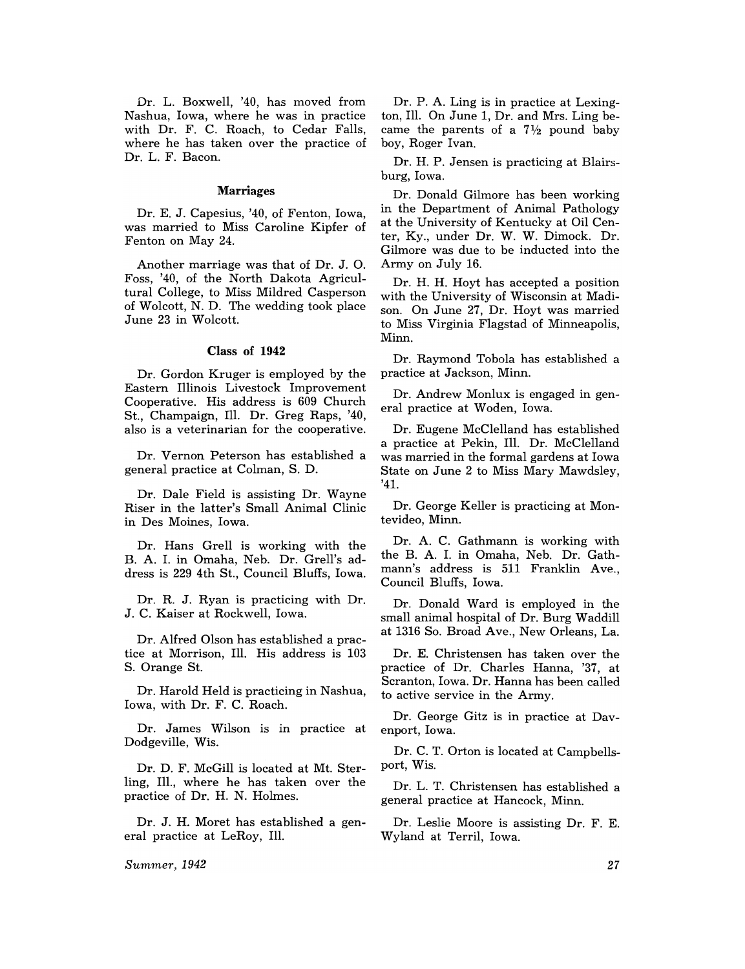Dr. L. Boxwell, '40, has moved from Nashua, Iowa, where he was in practice with Dr. F. C. Roach, to Cedar Falls, where he has taken over the practice of Dr. L. F. Bacon.

## Marriages

Dr. E. J. Capesius, '40, of Fenton, Iowa, was married to Miss Caroline Kipfer of Fenton on May 24.

Another marriage was that of Dr. J. O. Foss, '40, of the North Dakota Agricultural College, to Miss Mildred Casperson of Wolcott, N. D. The wedding took place June 23 in Wolcott.

## Class of 1942

Dr. Gordon Kruger is employed by the Eastern Illinois Livestock Improvement Cooperative. His address is 609 Church St., Champaign, Ill. Dr. Greg Raps, '40, also is a veterinarian for the cooperative.

Dr. Vernon Peterson has established a general practice at Colman, S. D.

Dr. Dale Field is assisting Dr. Wayne Riser in the latter's Small Animal Clinic in Des Moines, Iowa.

Dr. Hans Grell is working with the B. A. 1. in Omaha, Neb. Dr. Grell's address is 229 4th St., Council Bluffs, Iowa.

Dr. R. J. Ryan is practicing with Dr. J. C. Kaiser at Rockwell, Iowa.

Dr. Alfred Olson has established a practice at Morrison, Ill. His address is 103 S. Orange St.

Dr. Harold Held is practicing in Nashua, Iowa, with Dr. F. C. Roach.

Dr. James Wilson is in practice at Dodgeville, Wis.

Dr. D. F. McGill is located at Mt. Sterling, Il1., where he has taken over the practice of Dr. H. N. Holmes.

Dr. J. H. Moret has established a general practice at LeRoy, Ill.

*Summer, 1942* 

Dr. P. A. Ling is in practice at Lexington, Ill. On June **1,** Dr. and Mrs. Ling became the parents of a  $7\frac{1}{2}$  pound baby boy, Roger Ivan.

Dr. H. P. Jensen is practicing at Blairsburg, Iowa.

Dr. Donald Gilmore has been working in the Department of Animal Pathology at the University of Kentucky at Oil Center, Ky., under Dr. W. W. Dimock. Dr. Gilmore was due to be inducted into the Army on July 16.

Dr. H. H. Hoyt has accepted a position with the University of Wisconsin at Madison. On June 27, Dr. Hoyt was married to Miss Virginia Flagstad of Minneapolis, Minn.

Dr. Raymond Tobola has established a practice at Jackson, Minn.

Dr. Andrew Monlux is engaged in general practice at Woden, Iowa.

Dr. Eugene McClelland has established a practice at Pekin, Ill. Dr. McClelland was married in the formal gardens at Iowa State on June 2 to Miss Mary Mawdsley, '41.

Dr. George Keller is practicing at Montevideo, Minn.

Dr. A. C. Gathmann is working with the B. A. 1. in Omaha, Neb. Dr. Gathmann's address is 511 Franklin Ave., Council Bluffs, Iowa.

Dr. Donald Ward is employed in the small animal hospital of Dr. Burg Waddill at 1316 So. Broad Ave., New Orleans, La.

Dr. E. Christensen has taken over the practice of Dr. Charles Hanna, '37, at Scranton, Iowa. Dr. Hanna has been called to active service in the Army.

Dr. George Gitz is in practice at Davenport, Iowa.

Dr. C. T. Orton is located at Campbellsport, Wis.

Dr. L. T. Christensen has established a general practice at Hancock, Minn.

Dr. Leslie Moore is assisting Dr. F. E. Wyland at Terril, Iowa.